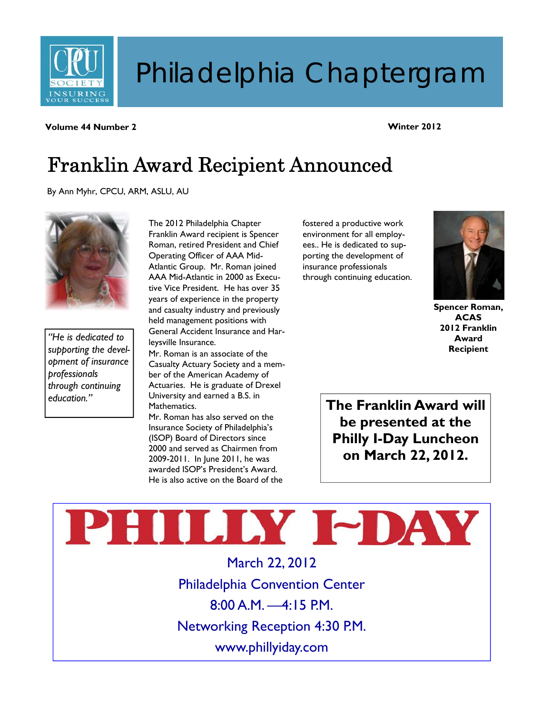

# Philadelphia Chaptergram

**Volume 44 Number 2** 

#### **Winter 2012**

# Franklin Award Recipient Announced

By Ann Myhr, CPCU, ARM, ASLU, AU



*"He is dedicated to supporting the development of insurance professionals through continuing education."* 

The 2012 Philadelphia Chapter Franklin Award recipient is Spencer Roman, retired President and Chief Operating Officer of AAA Mid-Atlantic Group. Mr. Roman joined AAA Mid-Atlantic in 2000 as Executive Vice President. He has over 35 years of experience in the property and casualty industry and previously held management positions with General Accident Insurance and Harleysville Insurance.

Mr. Roman is an associate of the Casualty Actuary Society and a member of the American Academy of Actuaries. He is graduate of Drexel University and earned a B.S. in Mathematics.

Mr. Roman has also served on the Insurance Society of Philadelphia's (ISOP) Board of Directors since 2000 and served as Chairmen from 2009-2011. In June 2011, he was awarded ISOP's President's Award. He is also active on the Board of the fostered a productive work environment for all employees.. He is dedicated to supporting the development of insurance professionals through continuing education.



**Spencer Roman, ACAS 2012 Franklin Award Recipient** 

**The Franklin Award will be presented at the Philly I-Day Luncheon on March 22, 2012.** 

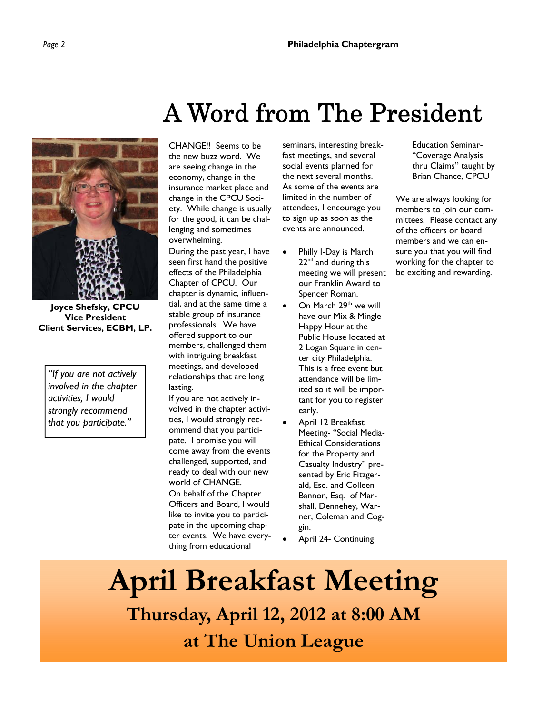

**Joyce Shefsky, CPCU Vice President Client Services, ECBM, LP.** 

*"If you are not actively involved in the chapter activities, I would strongly recommend that you participate."* 

# A Word from The President

CHANGE!! Seems to be the new buzz word. We are seeing change in the economy, change in the insurance market place and change in the CPCU Society. While change is usually for the good, it can be challenging and sometimes overwhelming.

During the past year, I have seen first hand the positive effects of the Philadelphia Chapter of CPCU. Our chapter is dynamic, influential, and at the same time a stable group of insurance professionals. We have offered support to our members, challenged them with intriguing breakfast meetings, and developed relationships that are long lasting.

If you are not actively involved in the chapter activities, I would strongly recommend that you participate. I promise you will come away from the events challenged, supported, and ready to deal with our new world of CHANGE. On behalf of the Chapter Officers and Board, I would like to invite you to participate in the upcoming chapter events. We have everything from educational

seminars, interesting breakfast meetings, and several social events planned for the next several months. As some of the events are limited in the number of attendees, I encourage you to sign up as soon as the events are announced.

Education Seminar- "Coverage Analysis thru Claims" taught by Brian Chance, CPCU

We are always looking for members to join our committees. Please contact any of the officers or board members and we can ensure you that you will find working for the chapter to be exciting and rewarding.

- Philly I-Day is March 22<sup>nd</sup> and during this meeting we will present our Franklin Award to Spencer Roman.
- On March 29<sup>th</sup> we will have our Mix & Mingle Happy Hour at the Public House located at 2 Logan Square in center city Philadelphia. This is a free event but attendance will be limited so it will be important for you to register early.
- April 12 Breakfast Meeting- "Social Media-Ethical Considerations for the Property and Casualty Industry" presented by Eric Fitzgerald, Esq. and Colleen Bannon, Esq. of Marshall, Dennehey, Warner, Coleman and Coggin.
- April 24- Continuing

**April Breakfast Meeting Thursday, April 12, 2012 at 8:00 AM at The Union League**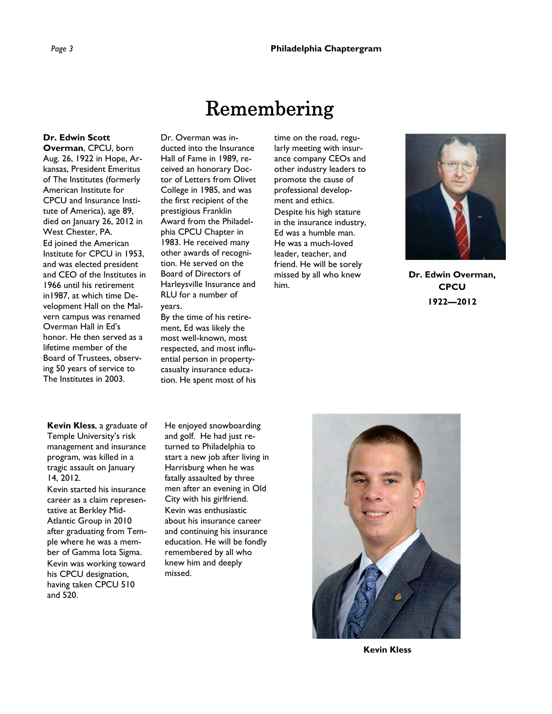### Remembering

#### **Dr. Edwin Scott**

**Overman**, CPCU, born Aug. 26, 1922 in Hope, Arkansas, President Emeritus of The Institutes (formerly American Institute for CPCU and Insurance Institute of America), age 89, died on January 26, 2012 in West Chester, PA. Ed joined the American Institute for CPCU in 1953, and was elected president and CEO of the Institutes in 1966 until his retirement in1987, at which time Development Hall on the Malvern campus was renamed Overman Hall in Ed's honor. He then served as a lifetime member of the Board of Trustees, observing 50 years of service to The Institutes in 2003.

Dr. Overman was inducted into the Insurance Hall of Fame in 1989, received an honorary Doctor of Letters from Olivet College in 1985, and was the first recipient of the prestigious Franklin Award from the Philadelphia CPCU Chapter in 1983. He received many other awards of recognition. He served on the Board of Directors of Harleysville Insurance and RLU for a number of years.

#### By the time of his retirement, Ed was likely the most well-known, most respected, and most influential person in propertycasualty insurance educa-

tion. He spent most of his

time on the road, regularly meeting with insurance company CEOs and other industry leaders to promote the cause of professional development and ethics. Despite his high stature in the insurance industry, Ed was a humble man. He was a much-loved leader, teacher, and friend. He will be sorely missed by all who knew him.



**Dr. Edwin Overman, CPCU 1922—2012** 

**Kevin Kless**, a graduate of Temple University's risk management and insurance program, was killed in a tragic assault on January 14, 2012.

Kevin started his insurance career as a claim representative at Berkley Mid-Atlantic Group in 2010 after graduating from Temple where he was a member of Gamma Iota Sigma. Kevin was working toward his CPCU designation, having taken CPCU 510 and 520.

He enjoyed snowboarding and golf. He had just returned to Philadelphia to start a new job after living in Harrisburg when he was fatally assaulted by three men after an evening in Old City with his girlfriend. Kevin was enthusiastic about his insurance career and continuing his insurance education. He will be fondly remembered by all who knew him and deeply missed.



**Kevin Kless**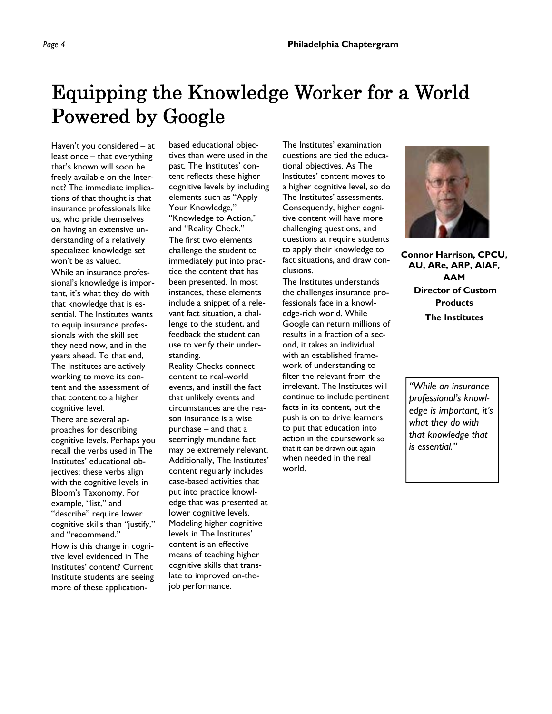### Equipping the Knowledge Worker for a World Powered by Google

Haven't you considered – at least once – that everything that's known will soon be freely available on the Internet? The immediate implications of that thought is that insurance professionals like us, who pride themselves on having an extensive understanding of a relatively specialized knowledge set won't be as valued.

While an insurance professional's knowledge is important, it's what they do with that knowledge that is essential. The Institutes wants to equip insurance professionals with the skill set they need now, and in the years ahead. To that end, The Institutes are actively working to move its content and the assessment of that content to a higher cognitive level.

There are several approaches for describing cognitive levels. Perhaps you recall the verbs used in The Institutes' educational objectives; these verbs align with the cognitive levels in Bloom's Taxonomy. For example, "list," and "describe" require lower cognitive skills than "justify," and "recommend." How is this change in cognitive level evidenced in The Institutes' content? Current Institute students are seeing more of these applicationbased educational objectives than were used in the past. The Institutes' content reflects these higher cognitive levels by including elements such as "Apply Your Knowledge," "Knowledge to Action," and "Reality Check." The first two elements challenge the student to immediately put into practice the content that has been presented. In most instances, these elements include a snippet of a relevant fact situation, a challenge to the student, and feedback the student can use to verify their understanding.

Reality Checks connect content to real-world events, and instill the fact that unlikely events and circumstances are the reason insurance is a wise purchase – and that a seemingly mundane fact may be extremely relevant. Additionally, The Institutes' content regularly includes case-based activities that put into practice knowledge that was presented at lower cognitive levels. Modeling higher cognitive levels in The Institutes' content is an effective means of teaching higher cognitive skills that translate to improved on-thejob performance.

The Institutes' examination questions are tied the educational objectives. As The Institutes' content moves to a higher cognitive level, so do The Institutes' assessments. Consequently, higher cognitive content will have more challenging questions, and questions at require students to apply their knowledge to fact situations, and draw conclusions.

The Institutes understands the challenges insurance professionals face in a knowledge-rich world. While Google can return millions of results in a fraction of a second, it takes an individual with an established framework of understanding to filter the relevant from the irrelevant. The Institutes will continue to include pertinent facts in its content, but the push is on to drive learners to put that education into action in the coursework so that it can be drawn out again when needed in the real world.



**Connor Harrison, CPCU, AU, ARe, ARP, AIAF, AAM Director of Custom Products The Institutes** 

*"While an insurance professional's knowledge is important, it's what they do with that knowledge that is essential."*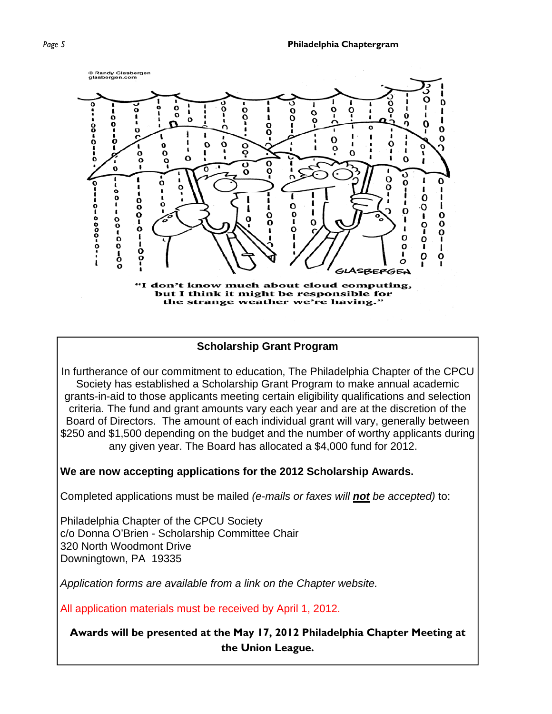*Page 5* **Philadelphia Chaptergram** *Page 5* 



#### **Scholarship Grant Program**

In furtherance of our commitment to education, The Philadelphia Chapter of the CPCU Society has established a Scholarship Grant Program to make annual academic grants-in-aid to those applicants meeting certain eligibility qualifications and selection criteria. The fund and grant amounts vary each year and are at the discretion of the Board of Directors. The amount of each individual grant will vary, generally between \$250 and \$1,500 depending on the budget and the number of worthy applicants during any given year. The Board has allocated a \$4,000 fund for 2012.

#### **We are now accepting applications for the 2012 Scholarship Awards.**

Completed applications must be mailed *(e-mails or faxes will not be accepted)* to:

Philadelphia Chapter of the CPCU Society c/o Donna O'Brien - Scholarship Committee Chair 320 North Woodmont Drive Downingtown, PA 19335

*Application forms are available from a link on the Chapter website.*

All application materials must be received by April 1, 2012.

#### **Awards will be presented at the May 17, 2012 Philadelphia Chapter Meeting at the Union League.**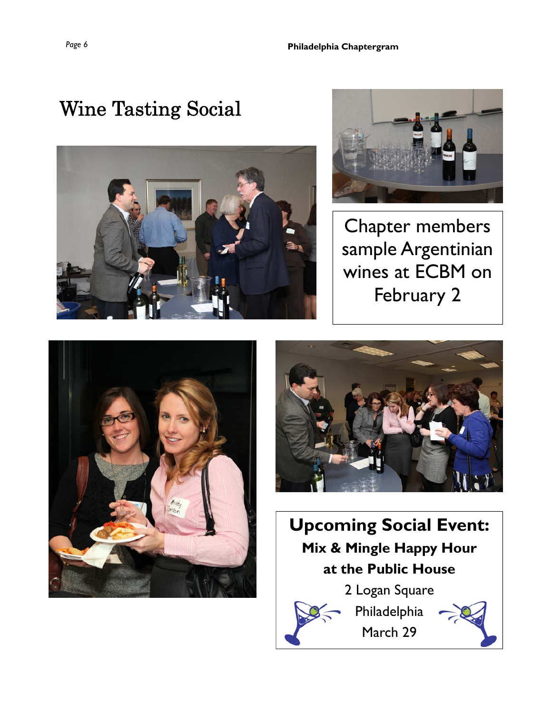# Wine Tasting Social





Chapter members sample Argentinian wines at ECBM on February 2





**Upcoming Social Event: Mix & Mingle Happy Hour at the Public House**  2 Logan Square Philadelphia

March 29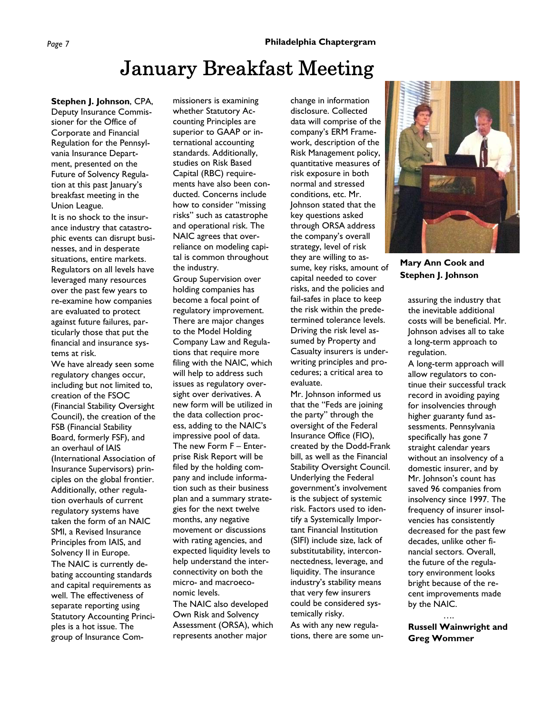### January Breakfast Meeting

**Stephen J. Johnson**, CPA, Deputy Insurance Commissioner for the Office of Corporate and Financial Regulation for the Pennsylvania Insurance Department, presented on the Future of Solvency Regulation at this past January's breakfast meeting in the Union League.

It is no shock to the insurance industry that catastrophic events can disrupt businesses, and in desperate situations, entire markets. Regulators on all levels have leveraged many resources over the past few years to re-examine how companies are evaluated to protect against future failures, particularly those that put the financial and insurance systems at risk.

We have already seen some regulatory changes occur, including but not limited to, creation of the FSOC (Financial Stability Oversight Council), the creation of the FSB (Financial Stability Board, formerly FSF), and an overhaul of IAIS (International Association of Insurance Supervisors) principles on the global frontier. Additionally, other regulation overhauls of current regulatory systems have taken the form of an NAIC SMI, a Revised Insurance Principles from IAIS, and Solvency II in Europe. The NAIC is currently debating accounting standards and capital requirements as well. The effectiveness of separate reporting using Statutory Accounting Principles is a hot issue. The group of Insurance Com-

missioners is examining whether Statutory Accounting Principles are superior to GAAP or international accounting standards. Additionally, studies on Risk Based Capital (RBC) requirements have also been conducted. Concerns include how to consider "missing risks" such as catastrophe and operational risk. The NAIC agrees that overreliance on modeling capital is common throughout the industry.

Group Supervision over holding companies has become a focal point of regulatory improvement. There are major changes to the Model Holding Company Law and Regulations that require more filing with the NAIC, which will help to address such issues as regulatory oversight over derivatives. A new form will be utilized in the data collection process, adding to the NAIC's impressive pool of data. The new Form F – Enterprise Risk Report will be filed by the holding company and include information such as their business plan and a summary strategies for the next twelve months, any negative movement or discussions with rating agencies, and expected liquidity levels to help understand the interconnectivity on both the micro- and macroeconomic levels. The NAIC also developed Own Risk and Solvency Assessment (ORSA), which represents another major

change in information disclosure. Collected data will comprise of the company's ERM Framework, description of the Risk Management policy, quantitative measures of risk exposure in both normal and stressed conditions, etc. Mr. Johnson stated that the key questions asked through ORSA address the company's overall strategy, level of risk they are willing to assume, key risks, amount of capital needed to cover risks, and the policies and fail-safes in place to keep the risk within the predetermined tolerance levels. Driving the risk level assumed by Property and Casualty insurers is underwriting principles and procedures; a critical area to evaluate.

Mr. Johnson informed us that the "Feds are joining the party" through the oversight of the Federal Insurance Office (FIO), created by the Dodd-Frank bill, as well as the Financial Stability Oversight Council. Underlying the Federal government's involvement is the subject of systemic risk. Factors used to identify a Systemically Important Financial Institution (SIFI) include size, lack of substitutability, interconnectedness, leverage, and liquidity. The insurance industry's stability means that very few insurers could be considered systemically risky.

As with any new regulations, there are some un-



**Mary Ann Cook and Stephen J. Johnson** 

assuring the industry that the inevitable additional costs will be beneficial. Mr. Johnson advises all to take a long-term approach to regulation.

A long-term approach will allow regulators to continue their successful track record in avoiding paying for insolvencies through higher guaranty fund assessments. Pennsylvania specifically has gone 7 straight calendar years without an insolvency of a domestic insurer, and by Mr. Johnson's count has saved 96 companies from insolvency since 1997. The frequency of insurer insolvencies has consistently decreased for the past few decades, unlike other financial sectors. Overall, the future of the regulatory environment looks bright because of the recent improvements made by the NAIC.

 …. **Russell Wainwright and Greg Wommer**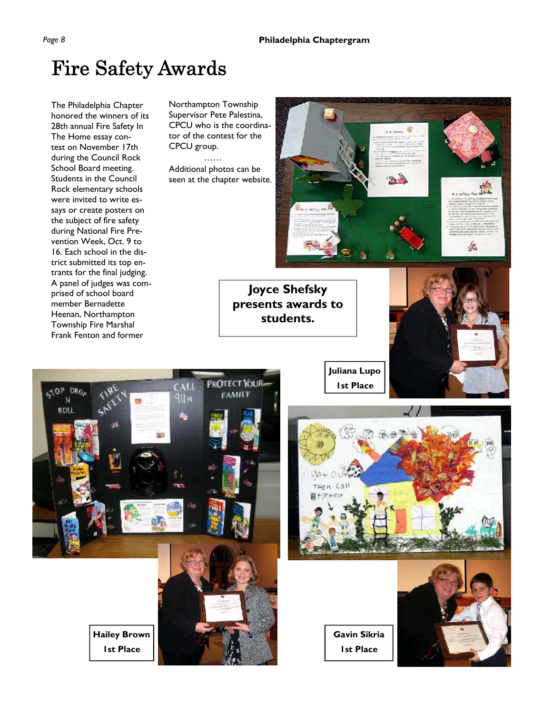**Joyce Shefsky presents awards to students.** 

### Fire Safety Awards

The Philadelphia Chapter honored the winners of its 28th annual Fire Safety In The Home essay contest on November 17th during the Council Rock School Board meeting. Students in the Council Rock elementary schools were invited to write essays or create posters on the subject of fire safety during National Fire Prevention Week, Oct. 9 to 16. Each school in the district submitted its top entrants for the final judging. A panel of judges was comprised of school board member Bernadette Heenan, Northampton Township Fire Marshal Frank Fenton and former

Northampton Township Supervisor Pete Palestina, CPCU who is the coordinator of the contest for the CPCU group.

 …… Additional photos can be seen at the chapter website.

ś.

**Juliana Lupo 1st Place** 



**Hailey Brown 1st Place** 

第 全部  $0a+$ n surt  $\epsilon$ はそうれせて)

ca cines

笽

**Gavin Sikria 1st Place** 

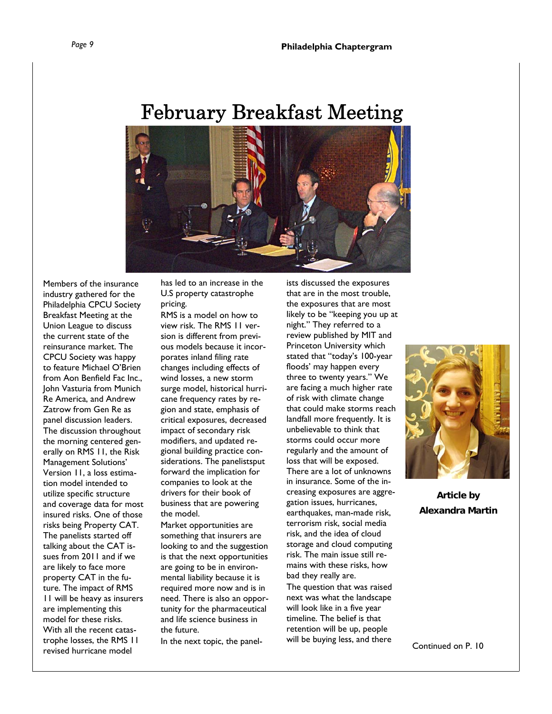### February Breakfast Meeting



Members of the insurance industry gathered for the Philadelphia CPCU Society Breakfast Meeting at the Union League to discuss the current state of the reinsurance market. The CPCU Society was happy to feature Michael O'Brien from Aon Benfield Fac Inc., John Vasturia from Munich Re America, and Andrew Zatrow from Gen Re as panel discussion leaders. The discussion throughout the morning centered generally on RMS 11, the Risk Management Solutions' Version 11, a loss estimation model intended to utilize specific structure and coverage data for most insured risks. One of those risks being Property CAT. The panelists started off talking about the CAT issues from 2011 and if we are likely to face more property CAT in the future. The impact of RMS 11 will be heavy as insurers are implementing this model for these risks. With all the recent catastrophe losses, the RMS 11 revised hurricane model

has led to an increase in the U.S property catastrophe pricing.

RMS is a model on how to view risk. The RMS 11 version is different from previous models because it incorporates inland filing rate changes including effects of wind losses, a new storm surge model, historical hurricane frequency rates by region and state, emphasis of critical exposures, decreased impact of secondary risk modifiers, and updated regional building practice considerations. The panelistsput forward the implication for companies to look at the drivers for their book of business that are powering the model.

Market opportunities are something that insurers are looking to and the suggestion is that the next opportunities are going to be in environmental liability because it is required more now and is in need. There is also an opportunity for the pharmaceutical and life science business in the future.

In the next topic, the panel-

ists discussed the exposures that are in the most trouble, the exposures that are most likely to be "keeping you up at night." They referred to a review published by MIT and Princeton University which stated that "today's 100-year floods' may happen every three to twenty years." We are facing a much higher rate of risk with climate change that could make storms reach landfall more frequently. It is unbelievable to think that storms could occur more regularly and the amount of loss that will be exposed. There are a lot of unknowns in insurance. Some of the increasing exposures are aggregation issues, hurricanes, earthquakes, man-made risk, terrorism risk, social media risk, and the idea of cloud storage and cloud computing risk. The main issue still remains with these risks, how bad they really are.

The question that was raised next was what the landscape will look like in a five year timeline. The belief is that retention will be up, people will be buying less, and there



**Article by Alexandra Martin**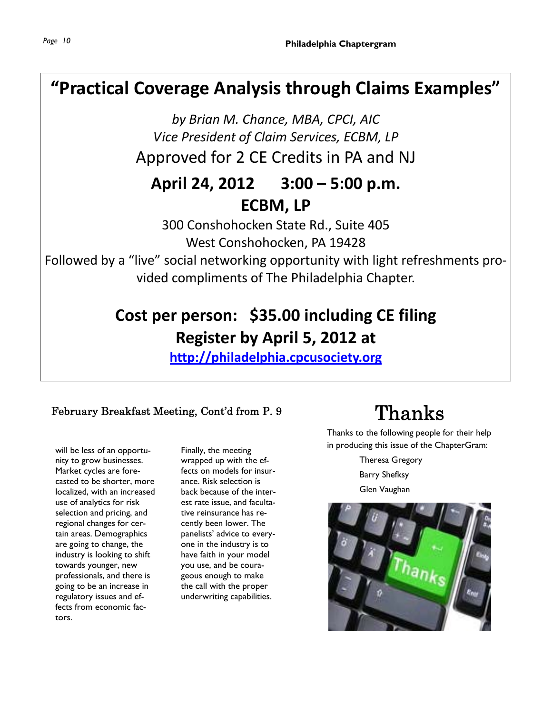#### **"Practical Coverage Analysis through Claims Examples"**

*by Brian M. Chance, MBA, CPCI, AIC Vice President of Claim Services, ECBM, LP* Approved for 2 CE Credits in PA and NJ

#### **April 24, 2012 3:00 – 5:00 p.m. ECBM, LP**

300 Conshohocken State Rd., Suite 405 West Conshohocken, PA 19428

Followed by a "live" social networking opportunity with light refreshments pro‐ vided compliments of The Philadelphia Chapter.

### **Cost per person: \$35.00 including CE filing Register by April 5, 2012 at**

**http://philadelphia.cpcusociety.org**

#### February Breakfast Meeting, Cont'd from P. 9

will be less of an opportunity to grow businesses. Market cycles are forecasted to be shorter, more localized, with an increased use of analytics for risk selection and pricing, and regional changes for certain areas. Demographics are going to change, the industry is looking to shift towards younger, new professionals, and there is going to be an increase in regulatory issues and effects from economic factors.

Finally, the meeting wrapped up with the effects on models for insurance. Risk selection is back because of the interest rate issue, and facultative reinsurance has recently been lower. The panelists' advice to everyone in the industry is to have faith in your model you use, and be courageous enough to make the call with the proper underwriting capabilities.

## Thanks

Thanks to the following people for their help in producing this issue of the ChapterGram:

> Theresa Gregory Barry Shefksy Glen Vaughan

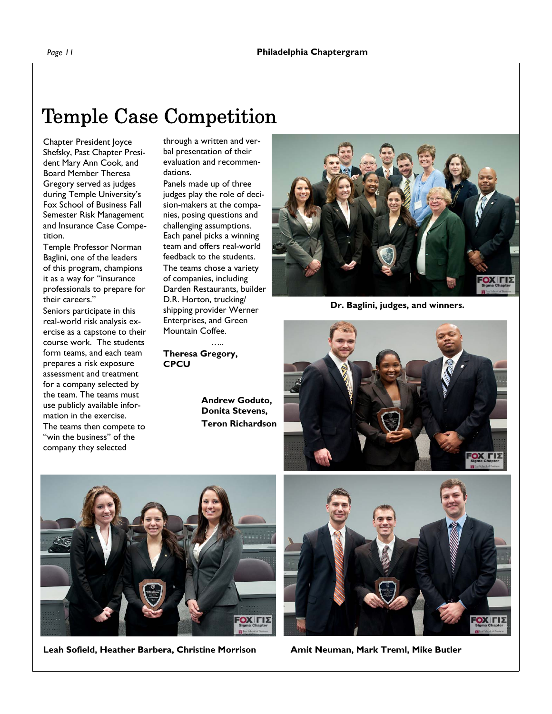## Temple Case Competition

Chapter President Joyce Shefsky, Past Chapter President Mary Ann Cook, and Board Member Theresa Gregory served as judges during Temple University's Fox School of Business Fall Semester Risk Management and Insurance Case Competition.

Temple Professor Norman Baglini, one of the leaders of this program, champions it as a way for "insurance professionals to prepare for their careers."

Seniors participate in this real-world risk analysis exercise as a capstone to their course work. The students form teams, and each team prepares a risk exposure assessment and treatment for a company selected by the team. The teams must use publicly available information in the exercise. The teams then compete to

"win the business" of the company they selected

through a written and verbal presentation of their evaluation and recommendations.

Panels made up of three judges play the role of decision-makers at the companies, posing questions and challenging assumptions. Each panel picks a winning team and offers real-world feedback to the students. The teams chose a variety of companies, including Darden Restaurants, builder D.R. Horton, trucking/ shipping provider Werner Enterprises, and Green Mountain Coffee.

 ….. **Theresa Gregory, CPCU** 

> **Andrew Goduto, Donita Stevens, Teron Richardson**



**Dr. Baglini, judges, and winners.** 





Leah Sofield, Heather Barbera, Christine Morrison **Amit Neuman, Mark Treml, Mike Butler**